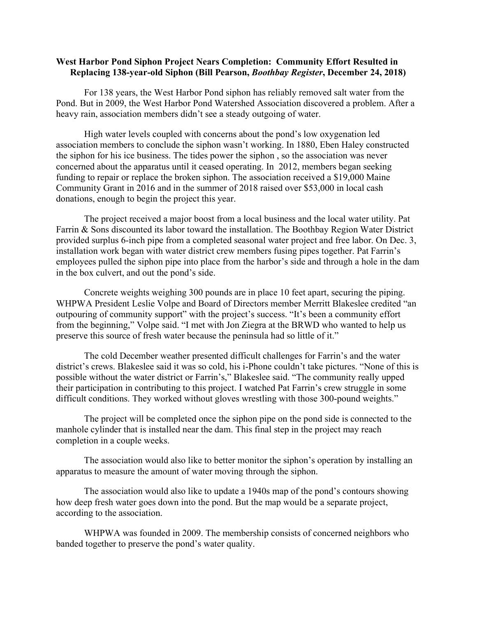## **West Harbor Pond Siphon Project Nears Completion: Community Effort Resulted in Replacing 138-year-old Siphon (Bill Pearson,** *Boothbay Register***, December 24, 2018)**

For 138 years, the West Harbor Pond siphon has reliably removed salt water from the Pond. But in 2009, the West Harbor Pond Watershed Association discovered a problem. After a heavy rain, association members didn't see a steady outgoing of water.

High water levels coupled with concerns about the pond's low oxygenation led association members to conclude the siphon wasn't working. In 1880, Eben Haley constructed the siphon for his ice business. The tides power the siphon , so the association was never concerned about the apparatus until it ceased operating. In 2012, members began seeking funding to repair or replace the broken siphon. The association received a \$19,000 Maine Community Grant in 2016 and in the summer of 2018 raised over \$53,000 in local cash donations, enough to begin the project this year.

The project received a major boost from a local business and the local water utility. Pat Farrin & Sons discounted its labor toward the installation. The Boothbay Region Water District provided surplus 6-inch pipe from a completed seasonal water project and free labor. On Dec. 3, installation work began with water district crew members fusing pipes together. Pat Farrin's employees pulled the siphon pipe into place from the harbor's side and through a hole in the dam in the box culvert, and out the pond's side.

Concrete weights weighing 300 pounds are in place 10 feet apart, securing the piping. WHPWA President Leslie Volpe and Board of Directors member Merritt Blakeslee credited "an outpouring of community support" with the project's success. "It's been a community effort from the beginning," Volpe said. "I met with Jon Ziegra at the BRWD who wanted to help us preserve this source of fresh water because the peninsula had so little of it."

The cold December weather presented difficult challenges for Farrin's and the water district's crews. Blakeslee said it was so cold, his i-Phone couldn't take pictures. "None of this is possible without the water district or Farrin's," Blakeslee said. "The community really upped their participation in contributing to this project. I watched Pat Farrin's crew struggle in some difficult conditions. They worked without gloves wrestling with those 300-pound weights."

The project will be completed once the siphon pipe on the pond side is connected to the manhole cylinder that is installed near the dam. This final step in the project may reach completion in a couple weeks.

The association would also like to better monitor the siphon's operation by installing an apparatus to measure the amount of water moving through the siphon.

The association would also like to update a 1940s map of the pond's contours showing how deep fresh water goes down into the pond. But the map would be a separate project, according to the association.

WHPWA was founded in 2009. The membership consists of concerned neighbors who banded together to preserve the pond's water quality.